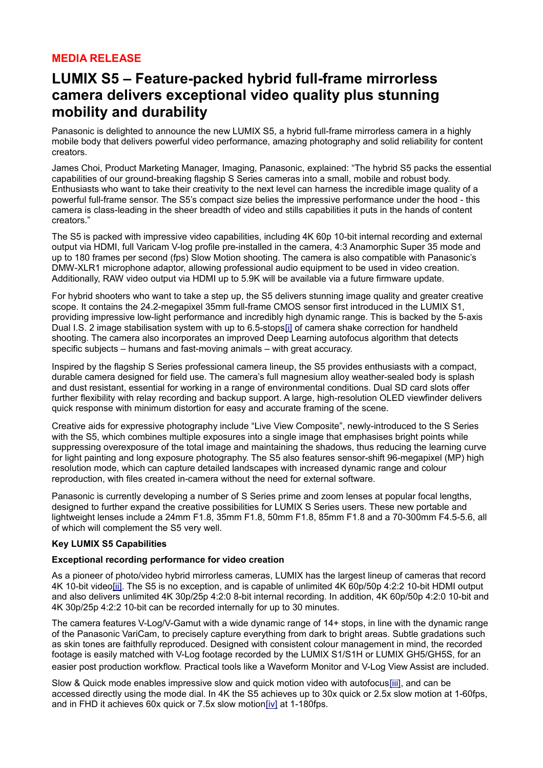## **MEDIA RELEASE**

# **LUMIX S5 – Feature-packed hybrid full-frame mirrorless camera delivers exceptional video quality plus stunning mobility and durability**

Panasonic is delighted to announce the new LUMIX S5, a hybrid full-frame mirrorless camera in a highly mobile body that delivers powerful video performance, amazing photography and solid reliability for content creators.

James Choi, Product Marketing Manager, Imaging, Panasonic, explained: "The hybrid S5 packs the essential capabilities of our ground-breaking flagship S Series cameras into a small, mobile and robust body. Enthusiasts who want to take their creativity to the next level can harness the incredible image quality of a powerful full-frame sensor. The S5's compact size belies the impressive performance under the hood - this camera is class-leading in the sheer breadth of video and stills capabilities it puts in the hands of content creators."

The S5 is packed with impressive video capabilities, including 4K 60p 10-bit internal recording and external output via HDMI, full Varicam V-log profile pre-installed in the camera, 4:3 Anamorphic Super 35 mode and up to 180 frames per second (fps) Slow Motion shooting. The camera is also compatible with Panasonic's DMW-XLR1 microphone adaptor, allowing professional audio equipment to be used in video creation. Additionally, RAW video output via HDMI up to 5.9K will be available via a future firmware update.

For hybrid shooters who want to take a step up, the S5 delivers stunning image quality and greater creative scope. It contains the 24.2-megapixel 35mm full-frame CMOS sensor first introduced in the LUMIX S1, providing impressive low-light performance and incredibly high dynamic range. This is backed by the 5-axis Dual I.S. 2 image stabilisation system with up to 6.5-stop[s\[i\]](https://mail.google.com/mail/u/0/#m_7980300299731745474__edn1) of camera shake correction for handheld shooting. The camera also incorporates an improved Deep Learning autofocus algorithm that detects specific subjects – humans and fast-moving animals – with great accuracy.

Inspired by the flagship S Series professional camera lineup, the S5 provides enthusiasts with a compact, durable camera designed for field use. The camera's full magnesium alloy weather-sealed body is splash and dust resistant, essential for working in a range of environmental conditions. Dual SD card slots offer further flexibility with relay recording and backup support. A large, high-resolution OLED viewfinder delivers quick response with minimum distortion for easy and accurate framing of the scene.

Creative aids for expressive photography include "Live View Composite", newly-introduced to the S Series with the S5, which combines multiple exposures into a single image that emphasises bright points while suppressing overexposure of the total image and maintaining the shadows, thus reducing the learning curve for light painting and long exposure photography. The S5 also features sensor-shift 96-megapixel (MP) high resolution mode, which can capture detailed landscapes with increased dynamic range and colour reproduction, with files created in-camera without the need for external software.

Panasonic is currently developing a number of S Series prime and zoom lenses at popular focal lengths, designed to further expand the creative possibilities for LUMIX S Series users. These new portable and lightweight lenses include a 24mm F1.8, 35mm F1.8, 50mm F1.8, 85mm F1.8 and a 70-300mm F4.5-5.6, all of which will complement the S5 very well.

## **Key LUMIX S5 Capabilities**

## **Exceptional recording performance for video creation**

As a pioneer of photo/video hybrid mirrorless cameras, LUMIX has the largest lineup of cameras that record 4K 10-bit vide[o\[ii\].](https://mail.google.com/mail/u/0/#m_7980300299731745474__edn2) The S5 is no exception, and is capable of unlimited 4K 60p/50p 4:2:2 10-bit HDMI output and also delivers unlimited 4K 30p/25p 4:2:0 8-bit internal recording. In addition, 4K 60p/50p 4:2:0 10-bit and 4K 30p/25p 4:2:2 10-bit can be recorded internally for up to 30 minutes.

The camera features V-Log/V-Gamut with a wide dynamic range of 14+ stops, in line with the dynamic range of the Panasonic VariCam, to precisely capture everything from dark to bright areas. Subtle gradations such as skin tones are faithfully reproduced. Designed with consistent colour management in mind, the recorded footage is easily matched with V-Log footage recorded by the LUMIX S1/S1H or LUMIX GH5/GH5S, for an easier post production workflow. Practical tools like a Waveform Monitor and V-Log View Assist are included.

Slow & Quick mode enables impressive slow and quick motion video with autofocu[s\[iii\],](https://mail.google.com/mail/u/0/#m_7980300299731745474__edn3) and can be accessed directly using the mode dial. In 4K the S5 achieves up to 30x quick or 2.5x slow motion at 1-60fps, and in FHD it achieves 60x quick or 7.5x slow motio[n\[iv\]](https://mail.google.com/mail/u/0/#m_7980300299731745474__edn4) at 1-180fps.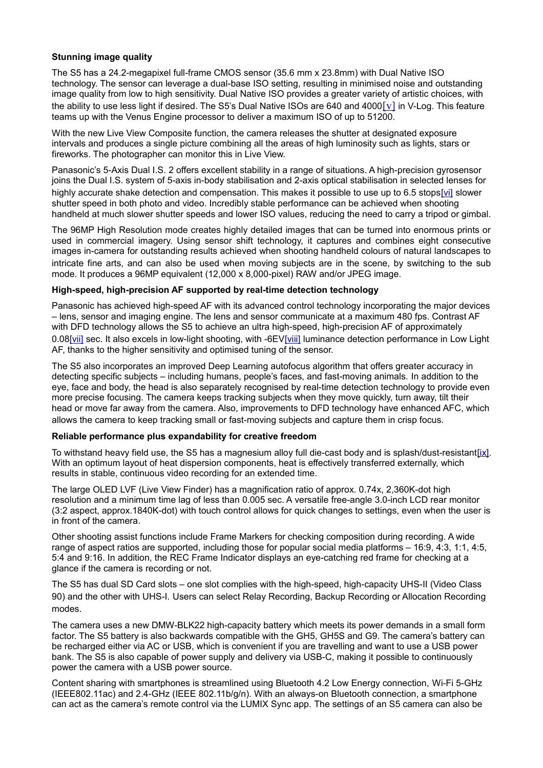## **Stunning image quality**

The S5 has a 24.2-megapixel full-frame CMOS sensor (35.6 mm x 23.8mm) with Dual Native ISO technology. The sensor can leverage a dual-base ISO setting, resulting in minimised noise and outstanding image quality from low to high sensitivity. Dual Native ISO provides a greater variety of artistic choices, with the ability to use less light if desired. The S5's Dual Native ISOs are 640 and 4000[\[v\]](https://mail.google.com/mail/u/0/#m_7980300299731745474__edn5) in V-Log. This feature teams up with the Venus Engine processor to deliver a maximum ISO of up to 51200.

With the new Live View Composite function, the camera releases the shutter at designated exposure intervals and produces a single picture combining all the areas of high luminosity such as lights, stars or fireworks. The photographer can monitor this in Live View.

Panasonic's 5-Axis Dual I.S. 2 offers excellent stability in a range of situations. A high-precision gyrosensor joins the Dual I.S. system of 5-axis in-body stabilisation and 2-axis optical stabilisation in selected lenses for highly accurate shake detection and compensation. This makes it possible to use up to 6.5 stops[\[vi\]](https://mail.google.com/mail/u/0/#m_7980300299731745474__edn6) slower shutter speed in both photo and video. Incredibly stable performance can be achieved when shooting handheld at much slower shutter speeds and lower ISO values, reducing the need to carry a tripod or gimbal.

The 96MP High Resolution mode creates highly detailed images that can be turned into enormous prints or used in commercial imagery. Using sensor shift technology, it captures and combines eight consecutive images in-camera for outstanding results achieved when shooting handheld colours of natural landscapes to intricate fine arts, and can also be used when moving subjects are in the scene, by switching to the sub mode. It produces a 96MP equivalent (12,000 x 8,000-pixel) RAW and/or JPEG image.

### **High-speed, high-precision AF supported by real-time detection technology**

Panasonic has achieved high-speed AF with its advanced control technology incorporating the major devices – lens, sensor and imaging engine. The lens and sensor communicate at a maximum 480 fps. Contrast AF with DFD technology allows the S5 to achieve an ultra high-speed, high-precision AF of approximately 0.0[8\[vii\]](https://mail.google.com/mail/u/0/#m_7980300299731745474__edn7) sec. It also excels in low-light shooting, with -6E[V\[viii\]](https://mail.google.com/mail/u/0/#m_7980300299731745474__edn8) luminance detection performance in Low Light AF, thanks to the higher sensitivity and optimised tuning of the sensor.

The S5 also incorporates an improved Deep Learning autofocus algorithm that offers greater accuracy in detecting specific subjects – including humans, people's faces, and fast-moving animals. In addition to the eye, face and body, the head is also separately recognised by real-time detection technology to provide even more precise focusing. The camera keeps tracking subjects when they move quickly, turn away, tilt their head or move far away from the camera. Also, improvements to DFD technology have enhanced AFC, which allows the camera to keep tracking small or fast-moving subjects and capture them in crisp focus.

#### **Reliable performance plus expandability for creative freedom**

To withstand heavy field use, the S5 has a magnesium alloy full die-cast body and is splash/dust-resistan[t\[ix\].](https://mail.google.com/mail/u/0/#m_7980300299731745474__edn9) With an optimum layout of heat dispersion components, heat is effectively transferred externally, which results in stable, continuous video recording for an extended time.

The large OLED LVF (Live View Finder) has a magnification ratio of approx. 0.74x, 2,360K-dot high resolution and a minimum time lag of less than 0.005 sec. A versatile free-angle 3.0-inch LCD rear monitor (3:2 aspect, approx.1840K-dot) with touch control allows for quick changes to settings, even when the user is in front of the camera.

Other shooting assist functions include Frame Markers for checking composition during recording. A wide range of aspect ratios are supported, including those for popular social media platforms – 16:9, 4:3, 1:1, 4:5, 5:4 and 9:16. In addition, the REC Frame Indicator displays an eye-catching red frame for checking at a glance if the camera is recording or not.

The S5 has dual SD Card slots – one slot complies with the high-speed, high-capacity UHS-II (Video Class 90) and the other with UHS-I. Users can select Relay Recording, Backup Recording or Allocation Recording modes.

The camera uses a new DMW-BLK22 high-capacity battery which meets its power demands in a small form factor. The S5 battery is also backwards compatible with the GH5, GH5S and G9. The camera's battery can be recharged either via AC or USB, which is convenient if you are travelling and want to use a USB power bank. The S5 is also capable of power supply and delivery via USB-C, making it possible to continuously power the camera with a USB power source.

Content sharing with smartphones is streamlined using Bluetooth 4.2 Low Energy connection, Wi-Fi 5-GHz (IEEE802.11ac) and 2.4-GHz (IEEE 802.11b/g/n). With an always-on Bluetooth connection, a smartphone can act as the camera's remote control via the LUMIX Sync app. The settings of an S5 camera can also be